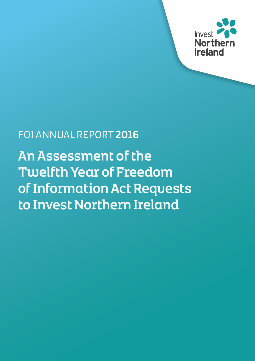

## FOI ANNUAL REPORT **2016**

An Assessment of the Twelfth Year of Freedom of Information Act Requests to Invest Northern Ireland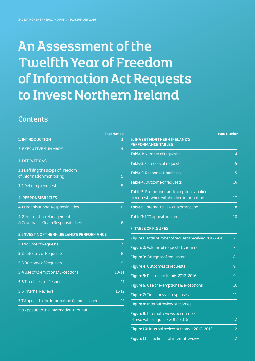# An Assessment of the Twelfth Year of Freedom of Information Act Requests to Invest Northern Ireland

## **Contents**

|                                             | <b>Page Number</b> |
|---------------------------------------------|--------------------|
| <b>1. INTRODUCTION</b>                      | 3                  |
| <b>2. EXECUTIVE SUMMARY</b>                 | 4                  |
| <b>3. DEFINITIONS</b>                       |                    |
| 3.1 Defining the scope of Freedom           |                    |
| of Information monitoring                   | 5                  |
| 3.2 Defining a request                      | 5                  |
| <b>4. RESPONSIBILITIES</b>                  |                    |
| 4.1 Organisational Responsibilities         | 6                  |
| 4.2 Information Management                  |                    |
| & Governance Team Responsibilities          | 6                  |
| 5. INVEST NORTHERN IRELAND'S PERFORMANCE    |                    |
| 5.1 Volume of Requests                      | $\overline{7}$     |
| 5.2 Category of Requester                   | 8                  |
| 5.3 Outcome of Requests                     | 9                  |
| 5.4 Use of Exemptions/Exceptions            | $10 - 11$          |
| <b>5.5 Timeliness of Responses</b>          | 11                 |
| <b>5.6 Internal Reviews</b>                 | $11 - 12$          |
| 5.7 Appeals to the Information Commissioner | 13                 |
| 5.8 Appeals to the Information Tribunal     | 13                 |

|                                                                                        | <b>Page Number</b> |
|----------------------------------------------------------------------------------------|--------------------|
| <b>6. INVEST NORTHERN IRELAND'S</b><br><b>PERFORMANCE TABLES</b>                       |                    |
| Table 1: Number of requests                                                            | 14                 |
| Table 2: Category of requester                                                         | 15                 |
| Table 3: Response timeliness                                                           | 15                 |
| Table 4: Outcome of requests                                                           | 16                 |
| Table 5: Exemptions and exceptions applied<br>to requests when withholding information | 17                 |
| <b>Table 6:</b> Internal review outcomes; and                                          | 18                 |
| Table 7: ICO appeal outcomes                                                           | 18                 |

#### **7. TABLE OF FIGURES**

| Figure 1: Total number of requests received 2012-2016 |    |
|-------------------------------------------------------|----|
| Figure 2: Volume of requests by regime                | 7  |
| Figure 3: Category of requester                       | 8  |
| Figure 4: Outcomes of requests                        | 9  |
| Figure 5: Disclosure trends 2012-2016                 | 9  |
| <b>Figure 6:</b> Use of exemptions & exceptions       | 10 |
| Figure 7: Timeliness of responses                     | 11 |
| Figure 8: Internal review outcomes                    | 11 |
| Figure 9: Internal reviews per number                 |    |
| of resolvable requests 2012-2016                      | 12 |
| Figure 10: Internal review outcomes 2012-2016         | 12 |
| Figure 11: Timeliness of internal reviews             | 12 |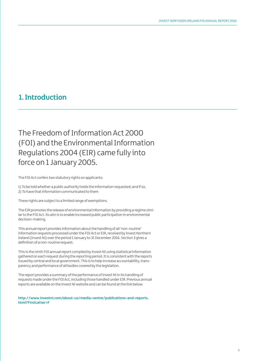## 1. Introduction

The Freedom of Information Act 2000 (FOI) and the Environmental Information Regulations 2004 (EIR) came fully into force on 1 January 2005.

The FOI Act confers two statutory rights on applicants:

1) To be told whether a public authority holds the information requested; and if so, 2) To have that information communicated to them

These rights are subject to a limited range of exemptions.

The EIR promotes the release of environmental information by providing a regime similar to the FOI Act. Its aim is to enable increased public participation in environmental decision-making.

This annual report provides information about the handling of all 'non-routine' information requests processed under the FOI Act or EIR, received by Invest Northern Ireland (Invest NI) over the period 1 January to 31 December 2016. Section 3 gives a definition of a non-routine request.

This is the ninth FOI annual report compiled by Invest NI using statistical information gathered on each request during the reporting period. It is consistent with the reports issued by central and local government. This is to help increase accountability, transparency and performance of all bodies covered by the legislation.

The report provides a summary of the performance of Invest NI in its handling of requests made under the FOI Act, including those handled under EIR. Previous annual reports are available on the Invest NI website and can be found at the link below:

**[http://www.investni.com/about-us/media-centre/publications-and-reports.](http://www.investni.com/about-us/media-centre/publications-and-reports.html?FirstLetter=F) [html?FirstLetter=F](http://www.investni.com/about-us/media-centre/publications-and-reports.html?FirstLetter=F)**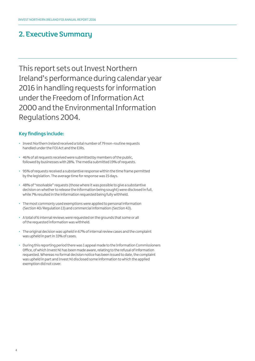## 2. Executive Summary

This report sets out Invest Northern Ireland's performance during calendar year 2016 in handling requests for information under the Freedom of Information Act 2000 and the Environmental Information Regulations 2004.

### **Key findings include:**

- Invest Northern Ireland received a total number of 79 non-routine requests handled under the FOI Act and the EIRs.
- 46% of all requests received were submitted by members of the public, followed by businesses with 28%. The media submitted 19% of requests.
- 95% of requests received a substantive response within the time frame permitted by the legislation. The average time for response was 15 days.
- 48% of "resolvable" requests (those where it was possible to give a substantive decision on whether to release the information being sought) were disclosed in full, while 7% resulted in the information requested being fully withheld.
- The most commonly used exemptions were applied to personal information (Section 40/Regulation 13) and commercial information (Section 43).
- A total of 6 internal reviews were requested on the grounds that some or all of the requested information was withheld.
- The original decision was upheld in 67% of internal review cases and the complaint was upheld in part in 33% of cases.
- During this reporting period there was 1 appeal made to the Information Commissioners Office, of which Invest NI has been made aware, relating to the refusal of information requested. Whereas no formal decision notice has been issued to date, the complaint was upheld in part and Invest NI disclosed some information to which the applied exemption did not cover.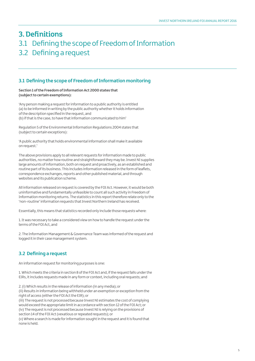## 3. Definitions 3.1 Defining the scope of Freedom of Information 3.2 Defining a request

### **3.1 Defining the scope of Freedom of Information monitoring**

#### **Section 1 of the Freedom of Information Act 2000 states that (subject to certain exemptions):**

'Any person making a request for information to a public authority is entitled (a) to be informed in writing by the public authority whether it holds information of the description specified in the request, and (b) if that is the case, to have that information communicated to him'

Regulation 5 of the Environmental Information Regulations 2004 states that (subject to certain exceptions):

'A public authority that holds environmental information shall make it available on request.'

The above provisions apply to all relevant requests for information made to public authorities, no matter how routine and straightforward they may be. Invest NI supplies large amounts of information, both on request and proactively, as an established and routine part of its business. This includes information released in the form of leaflets, correspondence exchanges, reports and other published material, and through websites and its publication scheme.

All information released on request is covered by the FOI Act. However, it would be both uninformative and fundamentally unfeasible to count all such activity in Freedom of Information monitoring returns. The statistics in this report therefore relate only to the 'non-routine' information requests that Invest Northern Ireland has received.

Essentially, this means that statistics recorded only include those requests where:

1. It was necessary to take a considered view on how to handle the request under the terms of the FOI Act, and

2. The Information Management & Governance Team was informed of the request and logged it in their case management system.

## **3.2 Defining a request**

An information request for monitoring purposes is one:

1. Which meets the criteria in section 8 of the FOI Act and, if the request falls under the EIRs, it includes requests made in any form or context, including oral requests; and

2. (i) Which results in the release of information (in any media); or (ii) Results in information being withheld under an exemption or exception from the right of access (either the FOI Act the EIR); or

(iii) The request is not processed because Invest NI estimates the cost of complying would exceed the appropriate limit in accordance with section 12 of the FOI Act; or (iv) The request is not processed because Invest NI is relying on the provisions of section 14 of the FOI Act (vexatious or repeated requests); or

(v) Where a search is made for information sought in the request and it is found that none is held.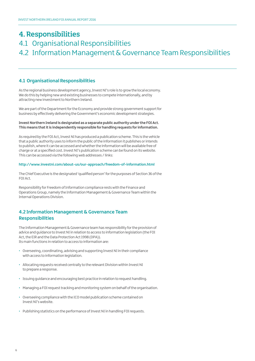## 4. Responsibilities

## 4.1 Organisational Responsibilities 4.2 Information Management & Governance Team Responsibilities

### **4.1 Organisational Responsibilities**

As the regional business development agency, Invest NI's role is to grow the local economy. We do this by helping new and existing businesses to compete internationally, and by attracting new investment to Northern Ireland.

We are part of the Department for the Economy and provide strong government support for business by effectively delivering the Government's economic development strategies.

#### **Invest Northern Ireland is designated as a separate public authority under the FOI Act. This means that it is independently responsible for handling requests for information.**

As required by the FOI Act, Invest NI has produced a publication scheme. This is the vehicle that a public authority uses to inform the public of the information it publishes or intends to publish, where it can be accessed and whether the information will be available free of charge or at a specified cost. Invest NI's publication scheme can be found on its website. This can be accessed via the following web addresses / links:

#### **<http://www.investni.com/about-us/our-approach/freedom-of-information.html>**

The Chief Executive is the designated 'qualified person' for the purposes of Section 36 of the FOI Act.

Responsibility for Freedom of Information compliance rests with the Finance and Operations Group, namely the Information Management & Governance Team within the Internal Operations Division.

### **4.2 Information Management & Governance Team Responsibilities**

The Information Management & Governance team has responsibility for the provision of advice and guidance to Invest NI in relation to access to information legislation (the FOI Act, the EIR and the Data Protection Act 1998 (DPA)). Its main functions in relation to access to information are:

- Overseeing, coordinating, advising and supporting Invest NI in their compliance with access to information legislation.
- Allocating requests received centrally to the relevant Division within Invest NI to prepare a response.
- Issuing guidance and encouraging best practice in relation to request handling.
- Managing a FOI request tracking and monitoring system on behalf of the organisation.
- Overseeing compliance with the ICO model publication scheme contained on Invest NI's website.
- Publishing statistics on the performance of Invest NI in handling FOI requests.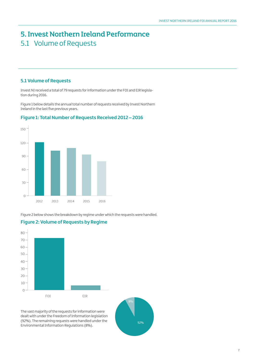## 5. Invest Northern Ireland Performance 5.1 Volume of Requests

#### **5.1 Volume of Requests**

Invest NI received a total of 79 requests for information under the FOI and EIR legislation during 2016.

Figure 1 below details the annual total number of requests received by Invest Northern Ireland in the last five previous years.



### **Figure 1: Total Number of Requests Received 2012 – 2016**

Figure 2 below shows the breakdown by regime under which the requests were handled.



### **Figure 2: Volume of Requests by Regime**

The vast majority of the requests for information were dealt with under the Freedom of Information legislation (92%). The remaining requests were handled under the Environmental Information Regulations (8%).

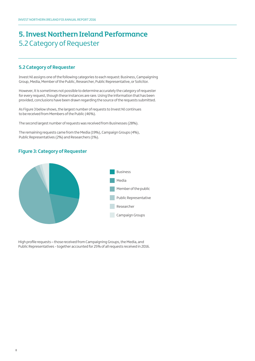## 5. Invest Northern Ireland Performance 5.2 Category of Requester

## **5.2 Category of Requester**

Invest NI assigns one of the following categories to each request: Business, Campaigning Group, Media, Member of the Public, Researcher, Public Representative, or Solicitor.

However, it is sometimes not possible to determine accurately the category of requester for every request, though these instances are rare. Using the information that has been provided, conclusions have been drawn regarding the source of the requests submitted.

As Figure 3 below shows, the largest number of requests to Invest NI continues to be received from Members of the Public (46%).

The second largest number of requests was received from Businesses (28%).

The remaining requests came from the Media (19%), Campaign Groups (4%), Public Representatives (2%) and Researchers (1%).

### **Figure 3: Category of Requester**



High profile requests – those received from Campaigning Groups, the Media, and Public Representatives - together accounted for 25% of all requests received in 2016.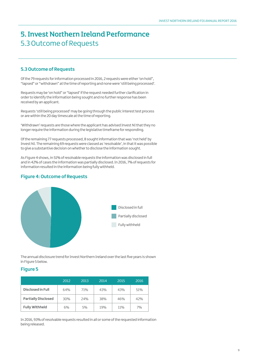## 5. Invest Northern Ireland Performance 5.3 Outcome of Requests

### **5.3 Outcome of Requests**

Of the 79 requests for information processed in 2016, 2 requests were either 'on hold", "lapsed" or "withdrawn" at the time of reporting and none were 'still being processed'.

Requests may be 'on hold" or "lapsed' if the request needed further clarification in order to identify the information being sought and no further response has been received by an applicant.

Requests 'still being processed' may be going through the public interest test process or are within the 20 day timescale at the time of reporting.

'Withdrawn' requests are those where the applicant has advised Invest NI that they no longer require the information during the legislative timeframe for responding.

Of the remaining 77 requests processed, 8 sought information that was 'not held' by Invest NI. The remaining 69 requests were classed as 'resolvable', in that it was possible to give a substantive decision on whether to disclose the information sought.

As Figure 4 shows, in 51% of resolvable requests the information was disclosed in full and in 42% of cases the information was partially disclosed. In 2016, 7% of requests for information resulted in the information being fully withheld.

## **Figure 4: Outcome of Requests**



The annual disclosure trend for Invest Northern Ireland over the last five years is shown in Figure 5 below.

### **Figure 5**

|                            | 2012 | 2013 | 2014 | 2015 | 2016 |
|----------------------------|------|------|------|------|------|
| Disclosed in Full          | 64%  | 71%  | 43%  | 43%  | 51%  |
| <b>Partially Disclosed</b> | 30%  | 24%  | 38%  | 46%  | 42%  |
| <b>Fully Withheld</b>      | 6%   | 5%   | 19%  | 11%  | 7%   |

In 2016, 93% of resolvable requests resulted in all or some of the requested information being released.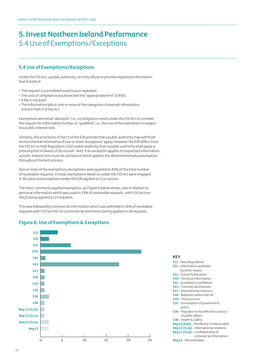## 5. Invest Northern Ireland Performance 5.4 Use of Exemptions/Exceptions

### **5.4 Use of Exemptions/Exceptions**

Under the FOI Act, a public authority can only refuse to provide requested information that it holds if:

- The request is considered vexatious or repeated;
- The cost of compliance would exceed the 'appropriate limit' (£450);
- A fee is not paid;
- The information falls in one or more of the categories of exempt information listed in Part II of the Act.

Exemptions are either 'absolute', i.e., no obligation exists under the FOI Act to consider the request for information further, or 'qualified', i.e., the use of the exemption is subject to a public interest test.

Similarly, the provisions of Part 3 of the EIR provide that a public authority may withhold environmental information if one or more 'exceptions' apply. However the EIR differs from the FOI Act in that Regulation 12(2) states explicitly that 'a public authority shall apply a presumption in favour of disclosure'. And, if an exception applies to requested information, a public interest test must be carried out which applies the aforementioned presumption throughout the test process.

One or more of the exemptions/exceptions were applied to 45% of the total number of resolvable requests. In total, exemptions relied on under the FOI Act were engaged in 30 cases and exceptions under the EIR applied on 2 occasions.

The most commonly applied exemption, as Figure 6 below shows, was in relation to personal information which was used in 33% of resolvable requests, with FOI Section 40(2) being applied to 23 requests.

This was followed by commercial information which was withheld in 26% of resolvable requests with FOI Section 43 (commercial detriment) being applied to 18 requests.

## **Figure 6: Use of Exemptions & Exceptions**



#### **KFY**

**S12 -** Fees Regulations

| <b>JIL</b> - I CEJ INCUBERIUM J                 |
|-------------------------------------------------|
| <b>S21 - Information available</b>              |
| by other means                                  |
| <b>S22 - Future Publication</b>                 |
| <b>S40 - Personal Information</b>               |
| <b>S41</b> - provided in confidence             |
| <b>S43 - Commercial Interests</b>               |
| <b>S27 - International relations</b>            |
| <b>S28 - Relations within the UK</b>            |
| <b>S29 - The economy</b>                        |
| <b>S35 - Formulation of Government</b>          |
| policy                                          |
| <b>S36 - Prejudice to the effective conduct</b> |
| of public affairs                               |
| <b>S38 - Health &amp; Safety</b>                |
| Reg 12(4)(b) - Manifestly Unreasonable          |
| Reg 12 (5) (a) - International relations        |
| Reg 12 (5) (e) - Confidentiality of             |
| commercial information                          |
| Reg 13 - Personal data                          |

10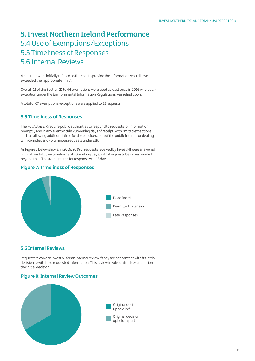## 5. Invest Northern Ireland Performance 5.4 Use of Exemptions/Exceptions 5.5 Timeliness of Responses 5.6 Internal Reviews

4 requests were initially refused as the cost to provide the information would have exceeded the 'appropriate limit'.

Overall, 11 of the Section 21 to 44 exemptions were used at least once in 2016 whereas, 4 exception under the Environmental Information Regulations was relied upon.

A total of 67 exemptions/exceptions were applied to 33 requests.

### **5.5 Timeliness of Responses**

The FOI Act & EIR require public authorities to respond to requests for information promptly and in any event within 20 working days of receipt, with limited exceptions, such as allowing additional time for the consideration of the public interest or dealing with complex and voluminous requests under EIR.

As Figure 7 below shows, in 2016, 95% of requests received by Invest NI were answered within the statutory timeframe of 20 working days, with 4 requests being responded beyond this. The average time for response was 15 days.

### **Figure 7: Timeliness of Responses**



### **5.6 Internal Reviews**

Requesters can ask Invest NI for an internal review if they are not content with its initial decision to withhold requested information. This review involves a fresh examination of the initial decision.

#### **Figure 8: Internal Review Outcomes**

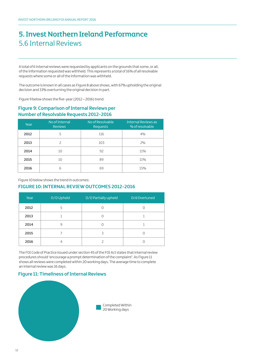## 5. Invest Northern Ireland Performance 5.6 Internal Reviews

A total of 6 internal reviews were requested by applicants on the grounds that some, or all, of the information requested was withheld. This represents a total of 16% of all resolvable requests where some or all of the information was withheld.

The outcome is known in all cases as Figure 8 above shows, with 67% upholding the original decision and 33% overturning the original decision in part.

Figure 9 below shows the five-year (2012 – 2016) trend.

## **Figure 9: Comparison of Internal Reviews per Number of Resolvable Requests 2012-2016**

| Year | No of Internal<br><b>Reviews</b> | No of Resolvable<br><b>Requests</b> | <b>Internal Reviews as</b><br>% of resolvable |
|------|----------------------------------|-------------------------------------|-----------------------------------------------|
| 2012 | 5                                | 116                                 | 4%                                            |
| 2013 |                                  | 103                                 | 2%                                            |
| 2014 | 10                               | 92                                  | 11%                                           |
| 2015 | 10                               | 89                                  | 11%                                           |
| 2016 | 6                                | 69                                  | 15%                                           |

Figure 10 below shows the trend in outcomes:

#### **FIGURE 10: INTERNAL REVIEW OUTCOMES 2012-2016**

| Year | O/D Upheld | O/D Partially upheld | O/d Overtuned |
|------|------------|----------------------|---------------|
| 2012 | 5          |                      |               |
| 2013 |            |                      |               |
| 2014 | 9          |                      |               |
| 2015 |            |                      |               |
| 2016 |            |                      |               |

The FOI Code of Practice issued under section 45 of the FOI Act states that internal review procedures should 'encourage a prompt determination of the complaint'. As Figure 11 shows all reviews were completed within 20 working days. The average time to complete an internal review was 16 days.

### **Figure 11: Timeliness of Internal Reviews**

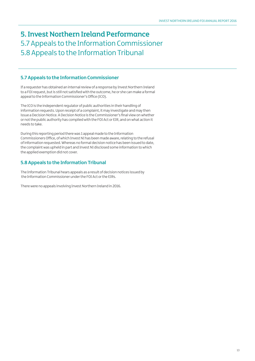## 5. Invest Northern Ireland Performance 5.7 Appeals to the Information Commissioner 5.8 Appeals to the Information Tribunal

### **5.7 Appeals to the Information Commissioner**

If a requester has obtained an internal review of a response by Invest Northern Ireland to a FOI request, but is still not satisfied with the outcome, he or she can make a formal appeal to the Information Commissioner's Office (ICO).

The ICO is the independent regulator of public authorities in their handling of information requests. Upon receipt of a complaint, it may investigate and may then issue a Decision Notice. A Decision Notice is the Commissioner's final view on whether or not the public authority has complied with the FOI Act or EIR, and on what action it needs to take.

During this reporting period there was 1 appeal made to the Information Commissioners Office, of which Invest NI has been made aware, relating to the refusal of information requested. Whereas no formal decision notice has been issued to date, the complaint was upheld in part and Invest NI disclosed some information to which the applied exemption did not cover.

## **5.8 Appeals to the Information Tribunal**

The Information Tribunal hears appeals as a result of decision notices issued by the Information Commissioner under the FOI Act or the EIRs.

There were no appeals involving Invest Northern Ireland in 2016.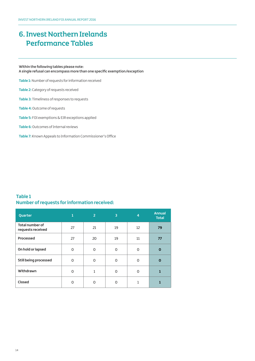**Within the following tables please note: A single refusal can encompass more than one specific exemption/exception**

**Table 1:**Number of requests for information received

**Table 2:** Category of requests received

**Table 3:** Timeliness of responses to requests

**Table 4:** Outcome of requests

**Table 5:** FOI exemptions & EIR exceptions applied

**Table 6:**Outcomes of Internal reviews

**Table 7:** Known Appeals to Information Commissioner's Office

### **Table 1 Number of requests for information received:**

| Quarter                                     | $\mathbf{1}$ | $\overline{2}$ | 3        | $\overline{4}$ | <b>Annual</b><br><b>Total</b> |
|---------------------------------------------|--------------|----------------|----------|----------------|-------------------------------|
| <b>Total number of</b><br>requests received | 27           | 21             | 19       | 12             | 79                            |
| Processed                                   | 27           | 20             | 19       | 11             | 77                            |
| On hold or lapsed                           | 0            | 0              | 0        | $\Omega$       | $\mathbf 0$                   |
| <b>Still being processed</b>                | $\Omega$     | 0              | $\Omega$ | $\Omega$       | $\Omega$                      |
| Withdrawn                                   | 0            | 1              | 0        | O              | 1                             |
| Closed                                      | $\Omega$     | 0              | O        |                |                               |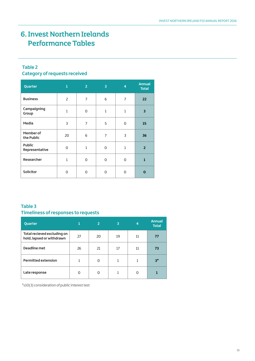## **Table 2 Category of requests received**

| Quarter                         | 1              | $\overline{2}$ | 3              | $\overline{4}$ | <b>Annual</b><br><b>Total</b> |
|---------------------------------|----------------|----------------|----------------|----------------|-------------------------------|
| <b>Business</b>                 | $\overline{2}$ | $\overline{7}$ | 6              | $\overline{7}$ | 22                            |
| Campaigning<br>Group            | $\mathbf{1}$   | O              | $\mathbf{1}$   | $\mathbf{1}$   | 3                             |
| Media                           | 3              | 7              | 5              | $\Omega$       | 15                            |
| Member of<br>the Public         | 20             | 6              | $\overline{7}$ | 3              | 36                            |
| <b>Public</b><br>Representative | $\Omega$       | $\mathbf{1}$   | 0              | $\mathbf{1}$   | $\overline{2}$                |
| Researcher                      | $\mathbf{1}$   | $\Omega$       | 0              | $\Omega$       | $\mathbf{1}$                  |
| <b>Solicitor</b>                | O              | $\Omega$       | 0              | $\Omega$       | $\Omega$                      |

## **Table 3 Timeliness of responses to requests**

| Quarter                                                  |    | $\overline{2}$ | 3  | 4  | <b>Annual</b><br><b>Total</b> |
|----------------------------------------------------------|----|----------------|----|----|-------------------------------|
| Total recieved excluding on<br>hold, lapsed or withdrawn | 27 | 20             | 19 | 11 | 77                            |
| Deadline met                                             | 26 | 21             | 17 | 11 | 73                            |
| <b>Permitted extension</b>                               | 1  | O              | 1  | 1  | $3^*$                         |
| Late response                                            | O  | O              |    | O  |                               |

\*s10(3) consideration of public interest test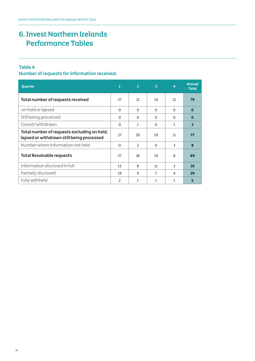## **Table 4**

**Number of requests for information received:** 

| <b>Quarter</b>                                                                           | 1        | $\overline{2}$           | $\overline{3}$ | 4            | <b>Annual</b><br><b>Total</b> |
|------------------------------------------------------------------------------------------|----------|--------------------------|----------------|--------------|-------------------------------|
| Total number of requests received                                                        | 27       | 21                       | 19             | 12           | 79                            |
| on hold or lapsed                                                                        | 0        | $\Omega$                 | 0              | $\Omega$     | $\mathbf 0$                   |
| Still being processed                                                                    | 0        | $\Omega$                 | $\Omega$       | $\Omega$     | $\Omega$                      |
| Closed/withdrawn                                                                         | 0        | 1                        | $\Omega$       | $\mathbf{1}$ | $\overline{2}$                |
| Total number of requests excluding on hold,<br>lapsed or withdrawn still being processed | 27       | 20                       | 19             | 11           | 77                            |
| Number where information not held                                                        | $\Omega$ | $\overline{\phantom{a}}$ | $\Omega$       | 3            | 8                             |
| <b>Total Resolvable requests</b>                                                         | 27       | 18                       | 19             | 8            | 69                            |
| Information disclosed in full                                                            | 13       | 8                        | 11             | 3            | 35                            |
| Partially disclosed                                                                      | 19       | q                        | $\overline{7}$ | 4            | 29                            |
| Fully withheld                                                                           | 2        | 1                        | 1              | 1            | 5                             |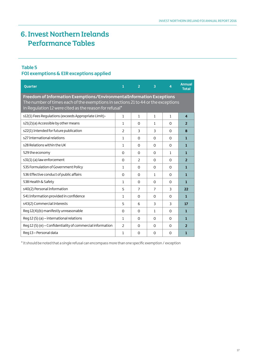## **Table 5**

## **FOI exemptions & EIR exceptions applied**

| Quarter                                                                                                                                                                                                              | 1              | $\overline{2}$ | 3            | $\overline{4}$ | <b>Annual</b><br><b>Total</b> |  |  |  |
|----------------------------------------------------------------------------------------------------------------------------------------------------------------------------------------------------------------------|----------------|----------------|--------------|----------------|-------------------------------|--|--|--|
| Freedom of Information Exemptions/EnvironmentalInformation Exceptions<br>The number of times each of the exemptions in sections 21 to 44 or the exceptions<br>in Regulation 12 were cited as the reason for refusal* |                |                |              |                |                               |  |  |  |
| s12(1) Fees Regulations (exceeds Appropriate Limit)-                                                                                                                                                                 | 1              | 1              | $\mathbf{1}$ | 1              | $\overline{\mathbf{4}}$       |  |  |  |
| s21(2)(a) Accessible by other means                                                                                                                                                                                  | $\mathbf{1}$   | $\Omega$       | $\mathbf{1}$ | $\Omega$       | $\overline{2}$                |  |  |  |
| s22(1) Intended for future publication                                                                                                                                                                               | 2              | 3              | 3            | $\Omega$       | 8                             |  |  |  |
| s27 International relations                                                                                                                                                                                          | $\mathbf{1}$   | $\Omega$       | O            | $\Omega$       | 1                             |  |  |  |
| s28 Relations within the UK                                                                                                                                                                                          | 1              | $\Omega$       | 0            | $\Omega$       | 1                             |  |  |  |
| S29 the economy                                                                                                                                                                                                      | $\Omega$       | $\Omega$       | 0            | $\mathbf{1}$   | $\mathbf{1}$                  |  |  |  |
| s31(1) (a) law enforcement                                                                                                                                                                                           | $\Omega$       | $\overline{2}$ | 0            | $\Omega$       | $\overline{2}$                |  |  |  |
| S35 Formulation of Government Policy                                                                                                                                                                                 | 1              | $\Omega$       | 0            | $\Omega$       | 1                             |  |  |  |
| S36 Effective conduct of public affairs                                                                                                                                                                              | 0              | $\Omega$       | $\mathbf{1}$ | $\Omega$       | 1                             |  |  |  |
| S38 Health & Safety                                                                                                                                                                                                  | 1              | $\Omega$       | 0            | $\Omega$       | $\mathbf{1}$                  |  |  |  |
| s40(2) Personal Information                                                                                                                                                                                          | 5              | $\overline{7}$ | 7            | 3              | 22                            |  |  |  |
| S41 Information provided in confidence                                                                                                                                                                               | 1              | $\Omega$       | $\Omega$     | $\Omega$       | 1                             |  |  |  |
| s43(2) Commercial Interests                                                                                                                                                                                          | 5              | 6              | 3            | 3              | 17                            |  |  |  |
| Reg 12(4)(b) manifestly unreasonable                                                                                                                                                                                 | 0              | $\Omega$       | $\mathbf{1}$ | $\Omega$       | $\mathbf{1}$                  |  |  |  |
| Reg 12 (5) (a) - international relations                                                                                                                                                                             | 1              | $\Omega$       | $\Omega$     | $\Omega$       | 1                             |  |  |  |
| Req 12 (5) (e) - Confidentiality of commercial information                                                                                                                                                           | $\overline{2}$ | $\Omega$       | $\Omega$     | $\Omega$       | $\overline{2}$                |  |  |  |
| Reg 13 - Personal data                                                                                                                                                                                               | 1              | $\Omega$       | $\Omega$     | $\Omega$       | 1                             |  |  |  |

\* It should be noted that a single refusal can encompass more than one specific exemption / exception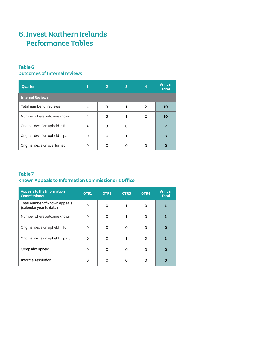## **Table 6**

## **Outcomes of Internal reviews**

| Quarter                          |                | 2 | 3        | $\overline{4}$           | <b>Annual</b><br><b>Total</b> |  |  |  |
|----------------------------------|----------------|---|----------|--------------------------|-------------------------------|--|--|--|
| <b>Internal Reviews</b>          |                |   |          |                          |                               |  |  |  |
| <b>Total number of reviews</b>   | $\overline{a}$ | 3 |          | $\mathcal{P}$            | 10                            |  |  |  |
| Number where outcome known       | 4              | 3 |          | $\overline{\phantom{0}}$ | 10                            |  |  |  |
| Original decision upheld in full | $\overline{a}$ | 3 | $\Omega$ |                          |                               |  |  |  |
| Original decision upheld in part | O              | 0 |          |                          |                               |  |  |  |
| Original decision overturned     | ი              | 0 | O        |                          |                               |  |  |  |

## **Table 7 Known Appeals to Information Commissioner's Office**

| Appeals to the Information<br><b>Commissioner</b>        | OTR1     | OTR <sub>2</sub> | OTR3 | OTR4 | <b>Annual</b><br><b>Total</b> |
|----------------------------------------------------------|----------|------------------|------|------|-------------------------------|
| Total number of known appeals<br>(calendar year to date) | O        | 0                | 1    | 0    | 1                             |
| Number where outcome known                               | O        | O                |      | O    |                               |
| Original decision upheld in full                         | ∩        | O                | O    | O    | Ω                             |
| Original decision upheld in part                         | $\Omega$ | O                | 1    | O    |                               |
| Complaint upheld                                         | $\Omega$ | O                | O    | O    | 0                             |
| Informal resolution                                      | ∩        | Ω                | O    | n    | O                             |